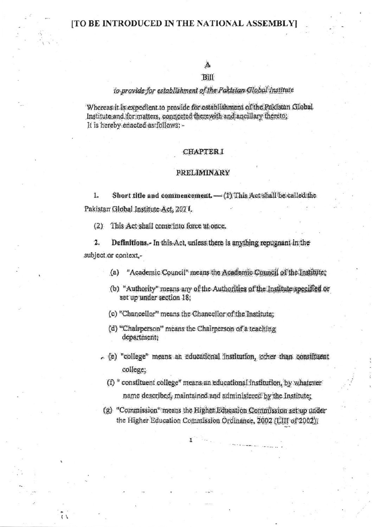# Bill

## to provide for establishment of the Pakistan Global Institute

Whereas it is expedient to provide for establishment of the Pakistan Global Institute and for matters, connected therewith and ancillary thereto; It is hereby enacted as follows: -

#### **CHAPTER I**

#### **PRELIMINARY**

Short title and commencement. - (1) This Act shall be called the 1. Pakistan Global Institute Act, 2021.

This Act shall come into force at once.  $(2)$ 

 $\mathbf{2}$ . Definitions.- In this Act, unless there is anything repugnant in the subject or context,-

> "Academic Council" means the Academic Council of the Institute;  $(a)$

- (b) "Authority" means any of the Authorities of the Institute specified or set up under section 18;
- (c) "Chancellor" means the Chancellor of the Institute;
- (d) "Chairperson" means the Chairperson of a teaching department;
- c (e) "college" means an educational institution, other than constituent college;

(f) " constituent college" means an educational institution, by whatever name described, maintained and administered by the Institute;

(g) "Commission" means the Higher Education Commission set up under the Higher Education Commission Ordinance, 2002 (LIII of 2002);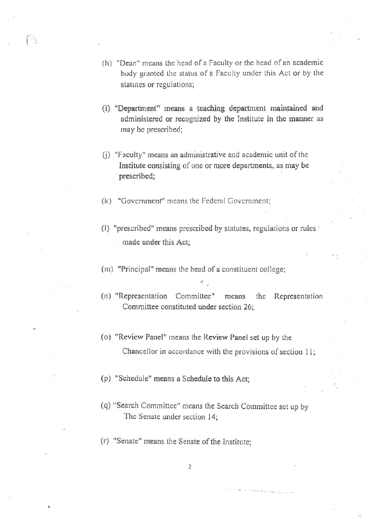- (h) "Dean" means the head of a Faculty or the head of an academic body granted the status of a Faculty under this Act or by the statutes or regulations;
- (i) "Department" means a teaching department maintained and administered or recognized by the Institute in the manner as may be prescribed;
- (i) "Faculty" means an administrative and academic unit of the Institute consisting of one or more departments, as may be prescribed;
- (k) "Governrncnt" means the Fcderal Government:

f S

- (l) "prescribed" means prescribed by statutes, regulations or rulcs made under this Act;
- (m) "Principal" means the head of a constituent college;
- (n) "Representation Committee" means the Representation Committee constituted under section 26;
- (o) "Review Panel" means the Review Panel set up by the Chancellor in accordance with the provisions of section  $11$ ;
- (p) "Schedulc" means a Schedule to this Act:
- (q) "Search Committee" means the Search Committee set up by The Senate under section 14;
- (r) "Senate" means the Senate of the Institute;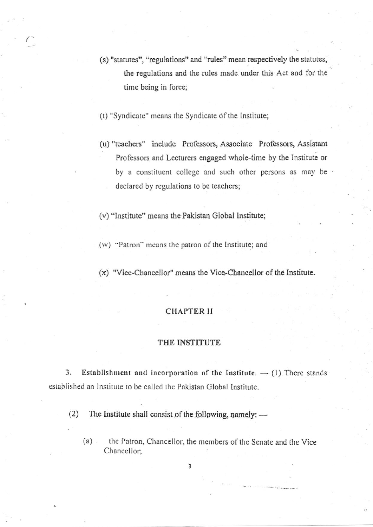- (s) "statutes", "regulations" and "rules" mean respectively the statutes, the regulations and the rules made under this Act and for the time being in force;
- (t) "Syndicate" means the Syndicate of the Institute;
- (u) "teachers" include Professors, Associate Professors, Assistant Professors and Lecturers engaged whole-time by the Institute or by a constituent college and such other persons as may be declared by regulations to be teachers;

(v) "Institute" means the Pakistan Global Institute;

- (w) "Patron" means the patron of the Institute; and
- $(x)$  "Vice-Chancellor" means the Vice-Chancellor of the Institute.

## **CHAPTER II**

### THE INSTITUTE

3. Establishment and incorporation of the Institute.  $-$  (1) There stands established an Institute to be called the Pakistan Global Institute.

The Institute shall consist of the following, namely: - $(2)$ 

 $(a)$ . the Patron, Chancellor, the members of the Senate and the Vice Chancellor:

 $\overline{3}$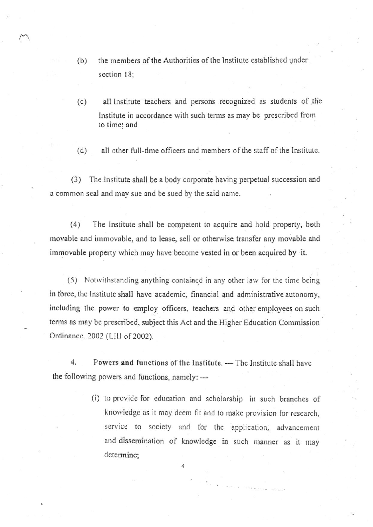- (b) the members of the Authorities of the Institute established under section 18;
- (c) all lnstitute teachers and persons recognized as students of the Institute in accordance with such terms as may be prescribed from to time; and
- $(d)$  all other full-time officers and members of the staff of the lnstitute.

(3) The Institute shall be a body corporate having perpetual succession and a common seal and may sue and be sued by the said name.

(4) The Institutc shall bc competent ro acquire and bold propeny, both movable and immovable, and to lease, sell or otherwise transfer any movable and immovable property which may have become vested in or been acquired by it.

 $(5)$  Notwithstanding anything contained in any other law for the time being in force, the Institute shall have academic, financial and administrative autonomy, including the power to employ officers, teachers and other employees on such terms as may be prescribed, subject this Act and the Higher Education Commission Ordinance, 2002 (LIII of 2002).

4, Powers and functions of the lnstitute. — The Institute shall have the following powers and functions, namely:  $-$ 

> (i) to provide for education and scholarship in such branches of knowledge as it may deem fit and to make provision for research, service to society and for the application, advancement and dissemination of knowledge in such manner as it may determine;

> > 4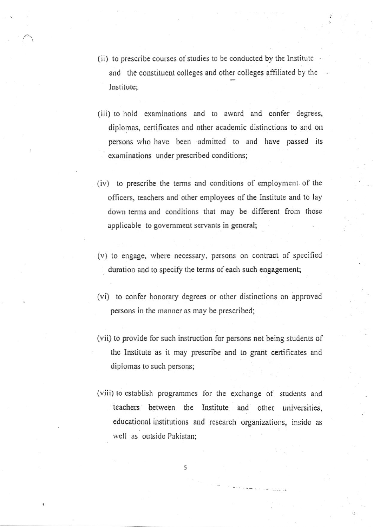- (ii) to prescribe courses of studies to be conducted by the Institute and the constituent colleges and other colleges affiliated by the Institute:
- (iii) to hold examinations and to award and confer degrees, diplomas, certificates and other academic distinctions to and on persons who have been admitted to and have passed its examinations under prescribed conditions;
- (iv) to prescribe the terms and conditions of employment of the officers, teachers and other employees of the Institute and to lay down terms and conditions that may be different from those applicable to government servants in general;
- (v) to engage, where necessary, persons on contract of specified duration and to specify the terms of each such engagement;
- (vi) to confer honorary degrees or other distinctions on approved persons in the manner as may be prescribed;
- (vii) to provide for such instruction for persons not being students of the Institute as it may prescribe and to grant certificates and diplomas to such persons;
- (viii) to establish programmes for the exchange of students and teachers between the Institute and other universities, educational institutions and research organizations, inside as well as outside Pakistan: